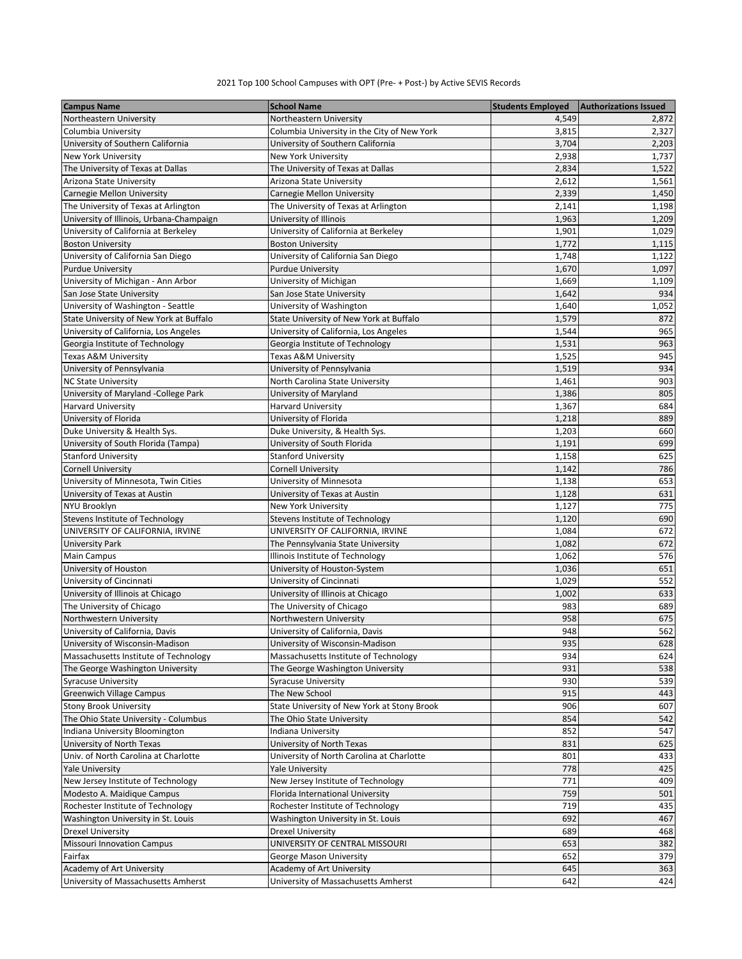## 2021 Top 100 School Campuses with OPT (Pre- + Post-) by Active SEVIS Records

| <b>Campus Name</b>                                   | <b>School Name</b>                          | <b>Students Employed</b> | <b>Authorizations Issued</b> |
|------------------------------------------------------|---------------------------------------------|--------------------------|------------------------------|
| Northeastern University                              | Northeastern University                     | 4,549                    | 2,872                        |
| Columbia University                                  | Columbia University in the City of New York | 3,815                    | 2,327                        |
| University of Southern California                    | University of Southern California           | 3,704                    | 2,203                        |
| New York University                                  | New York University                         | 2,938                    | 1,737                        |
| The University of Texas at Dallas                    | The University of Texas at Dallas           | 2,834                    | 1,522                        |
| Arizona State University                             | Arizona State University                    | 2,612                    | 1,561                        |
| Carnegie Mellon University                           | Carnegie Mellon University                  | 2,339                    | 1,450                        |
| The University of Texas at Arlington                 | The University of Texas at Arlington        | 2,141                    | 1,198                        |
| University of Illinois, Urbana-Champaign             | University of Illinois                      | 1,963                    | 1,209                        |
| University of California at Berkeley                 | University of California at Berkeley        | 1,901                    | 1,029                        |
| <b>Boston University</b>                             | <b>Boston University</b>                    | 1,772                    | 1,115                        |
| University of California San Diego                   | University of California San Diego          | 1,748                    | 1,122                        |
| <b>Purdue University</b>                             | <b>Purdue University</b>                    | 1,670                    | 1,097                        |
| University of Michigan - Ann Arbor                   | University of Michigan                      | 1,669                    | 1,109                        |
| San Jose State University                            | San Jose State University                   | 1,642                    | 934                          |
| University of Washington - Seattle                   | University of Washington                    | 1,640                    | 1,052                        |
| State University of New York at Buffalo              | State University of New York at Buffalo     | 1,579                    | 872                          |
| University of California, Los Angeles                | University of California, Los Angeles       | 1,544                    | 965                          |
| Georgia Institute of Technology                      | Georgia Institute of Technology             | 1,531                    | 963                          |
| Texas A&M University                                 | Texas A&M University                        | 1,525                    | 945                          |
| University of Pennsylvania                           | University of Pennsylvania                  | 1,519                    | 934                          |
| <b>NC State University</b>                           | North Carolina State University             | 1,461                    | 903                          |
| University of Maryland -College Park                 | University of Maryland                      | 1,386                    | 805                          |
| <b>Harvard University</b>                            | <b>Harvard University</b>                   | 1,367                    | 684                          |
| University of Florida                                | University of Florida                       | 1,218                    | 889                          |
| Duke University & Health Sys.                        | Duke University, & Health Sys.              | 1,203                    | 660                          |
| University of South Florida (Tampa)                  | University of South Florida                 | 1,191                    | 699                          |
| <b>Stanford University</b>                           | <b>Stanford University</b>                  | 1,158                    | 625                          |
| <b>Cornell University</b>                            | <b>Cornell University</b>                   | 1,142                    | 786                          |
| University of Minnesota, Twin Cities                 | University of Minnesota                     | 1,138                    | 653                          |
| University of Texas at Austin                        | University of Texas at Austin               | 1,128                    | 631                          |
| NYU Brooklyn                                         | New York University                         | 1,127                    | 775                          |
| Stevens Institute of Technology                      | Stevens Institute of Technology             | 1,120                    | 690                          |
| UNIVERSITY OF CALIFORNIA, IRVINE                     | UNIVERSITY OF CALIFORNIA, IRVINE            | 1,084                    | 672                          |
| <b>University Park</b>                               | The Pennsylvania State University           | 1,082                    | 672                          |
| <b>Main Campus</b>                                   | Illinois Institute of Technology            | 1,062                    | 576                          |
| University of Houston                                | University of Houston-System                | 1,036                    | 651                          |
| University of Cincinnati                             | University of Cincinnati                    | 1,029                    | 552                          |
| University of Illinois at Chicago                    | University of Illinois at Chicago           | 1,002                    | 633                          |
|                                                      | The University of Chicago                   | 983                      | 689                          |
| The University of Chicago<br>Northwestern University | Northwestern University                     | 958                      | 675                          |
| University of California, Davis                      | University of California, Davis             | 948                      | 562                          |
|                                                      |                                             |                          |                              |
| University of Wisconsin-Madison                      | University of Wisconsin-Madison             | 935<br>934               | 628                          |
| Massachusetts Institute of Technology                | Massachusetts Institute of Technology       |                          | 624                          |
| The George Washington University                     | The George Washington University            | 931                      | 538                          |
| <b>Syracuse University</b>                           | <b>Syracuse University</b>                  | 930                      | 539                          |
| <b>Greenwich Village Campus</b>                      | The New School                              | 915                      | 443                          |
| <b>Stony Brook University</b>                        | State University of New York at Stony Brook | 906                      | 607                          |
| The Ohio State University - Columbus                 | The Ohio State University                   | 854                      | 542                          |
| Indiana University Bloomington                       | Indiana University                          | 852                      | 547                          |
| University of North Texas                            | University of North Texas                   | 831                      | 625                          |
| Univ. of North Carolina at Charlotte                 | University of North Carolina at Charlotte   | 801                      | 433                          |
| <b>Yale University</b>                               | <b>Yale University</b>                      | 778                      | 425                          |
| New Jersey Institute of Technology                   | New Jersey Institute of Technology          | 771                      | 409                          |
| Modesto A. Maidique Campus                           | Florida International University            | 759                      | 501                          |
| Rochester Institute of Technology                    | Rochester Institute of Technology           | 719                      | 435                          |
| Washington University in St. Louis                   | Washington University in St. Louis          | 692                      | 467                          |
| <b>Drexel University</b>                             | <b>Drexel University</b>                    | 689                      | 468                          |
| <b>Missouri Innovation Campus</b>                    | UNIVERSITY OF CENTRAL MISSOURI              | 653                      | 382                          |
| Fairfax                                              | George Mason University                     | 652                      | 379                          |
| Academy of Art University                            | Academy of Art University                   | 645                      | 363                          |
| University of Massachusetts Amherst                  | University of Massachusetts Amherst         | 642                      | 424                          |